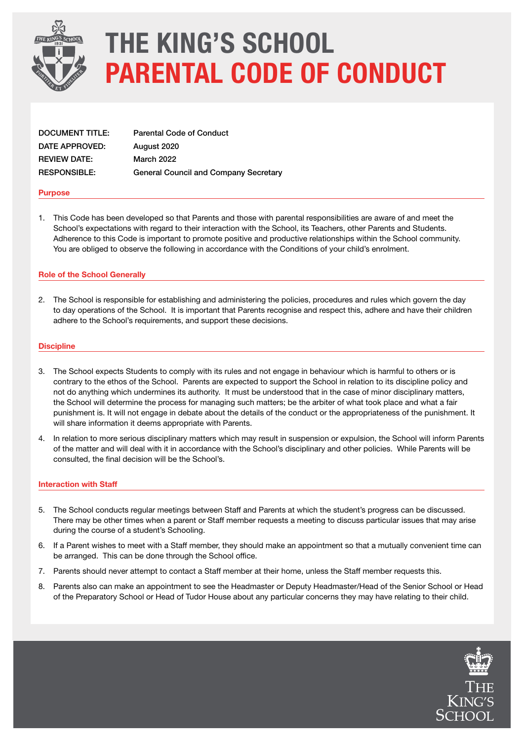

# THE KING'S SCHOOL PARENTAL CODE OF CONDUCT

| <b>DOCUMENT TITLE:</b> | <b>Parental Code of Conduct</b>              |
|------------------------|----------------------------------------------|
| DATE APPROVED:         | August 2020                                  |
| <b>REVIEW DATE:</b>    | <b>March 2022</b>                            |
| <b>RESPONSIBLE:</b>    | <b>General Council and Company Secretary</b> |

#### Purpose

1. This Code has been developed so that Parents and those with parental responsibilities are aware of and meet the School's expectations with regard to their interaction with the School, its Teachers, other Parents and Students. Adherence to this Code is important to promote positive and productive relationships within the School community. You are obliged to observe the following in accordance with the Conditions of your child's enrolment.

### Role of the School Generally

2. The School is responsible for establishing and administering the policies, procedures and rules which govern the day to day operations of the School. It is important that Parents recognise and respect this, adhere and have their children adhere to the School's requirements, and support these decisions.

#### **Discipline**

- 3. The School expects Students to comply with its rules and not engage in behaviour which is harmful to others or is contrary to the ethos of the School. Parents are expected to support the School in relation to its discipline policy and not do anything which undermines its authority. It must be understood that in the case of minor disciplinary matters, the School will determine the process for managing such matters; be the arbiter of what took place and what a fair punishment is. It will not engage in debate about the details of the conduct or the appropriateness of the punishment. It will share information it deems appropriate with Parents.
- 4. In relation to more serious disciplinary matters which may result in suspension or expulsion, the School will inform Parents of the matter and will deal with it in accordance with the School's disciplinary and other policies. While Parents will be consulted, the final decision will be the School's.

#### Interaction with Staff

- 5. The School conducts regular meetings between Staff and Parents at which the student's progress can be discussed. There may be other times when a parent or Staff member requests a meeting to discuss particular issues that may arise during the course of a student's Schooling.
- 6. If a Parent wishes to meet with a Staff member, they should make an appointment so that a mutually convenient time can be arranged. This can be done through the School office.
- 7. Parents should never attempt to contact a Staff member at their home, unless the Staff member requests this.
- 8. Parents also can make an appointment to see the Headmaster or Deputy Headmaster/Head of the Senior School or Head of the Preparatory School or Head of Tudor House about any particular concerns they may have relating to their child.

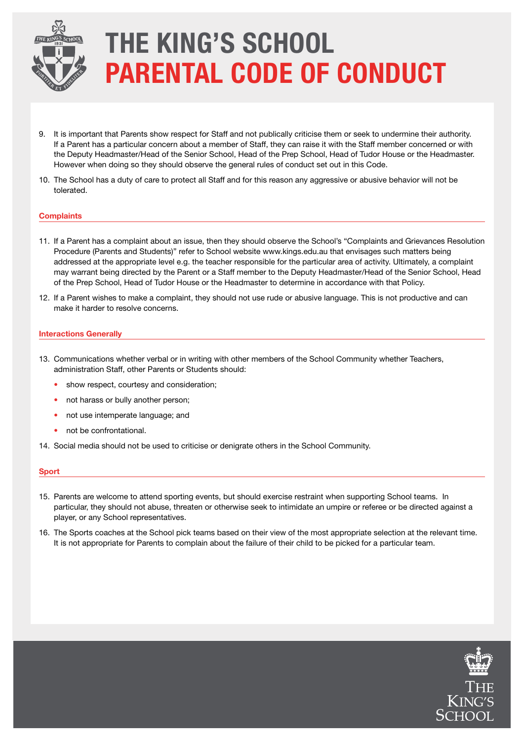

# THE KING'S SCHOOL PARENTAL CODE OF CONDUCT

- 9. It is important that Parents show respect for Staff and not publically criticise them or seek to undermine their authority. If a Parent has a particular concern about a member of Staff, they can raise it with the Staff member concerned or with the Deputy Headmaster/Head of the Senior School, Head of the Prep School, Head of Tudor House or the Headmaster. However when doing so they should observe the general rules of conduct set out in this Code.
- 10. The School has a duty of care to protect all Staff and for this reason any aggressive or abusive behavior will not be tolerated.

#### **Complaints**

- 11. If a Parent has a complaint about an issue, then they should observe the School's "Complaints and Grievances Resolution Procedure (Parents and Students)" refer to School website www.kings.edu.au that envisages such matters being addressed at the appropriate level e.g. the teacher responsible for the particular area of activity. Ultimately, a complaint may warrant being directed by the Parent or a Staff member to the Deputy Headmaster/Head of the Senior School, Head of the Prep School, Head of Tudor House or the Headmaster to determine in accordance with that Policy.
- 12. If a Parent wishes to make a complaint, they should not use rude or abusive language. This is not productive and can make it harder to resolve concerns.

### Interactions Generally

- 13. Communications whether verbal or in writing with other members of the School Community whether Teachers, administration Staff, other Parents or Students should:
	- show respect, courtesy and consideration;
	- not harass or bully another person:
	- not use intemperate language; and
	- not be confrontational.
- 14. Social media should not be used to criticise or denigrate others in the School Community.

#### Sport

- 15. Parents are welcome to attend sporting events, but should exercise restraint when supporting School teams. In particular, they should not abuse, threaten or otherwise seek to intimidate an umpire or referee or be directed against a player, or any School representatives.
- 16. The Sports coaches at the School pick teams based on their view of the most appropriate selection at the relevant time. It is not appropriate for Parents to complain about the failure of their child to be picked for a particular team.